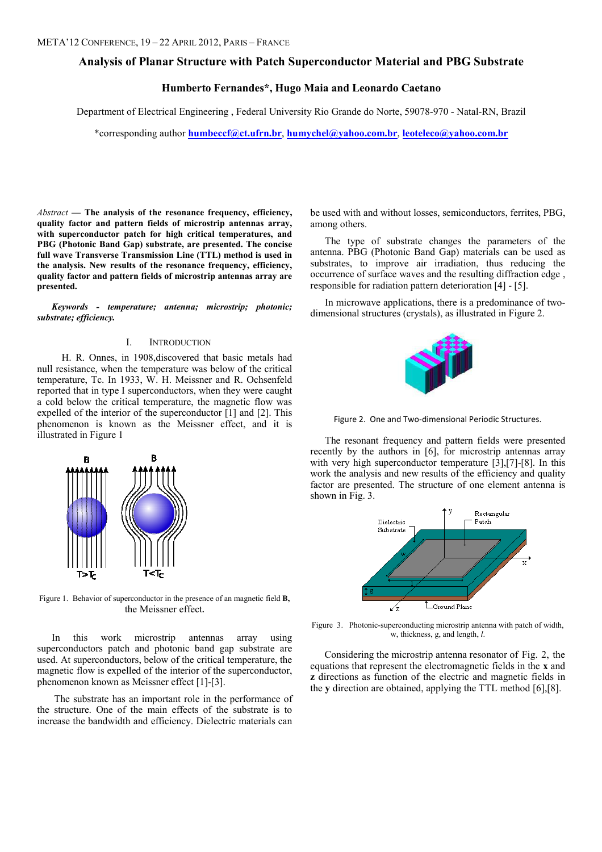# Analysis of Planar Structure with Patch Superconductor Material and PBG Substrate

# Humberto Fernandes\*, Hugo Maia and Leonardo Caetano

Department of Electrical Engineering , Federal University Rio Grande do Norte, 59078-970 - Natal-RN, Brazil

\*corresponding author humbeccf@ct.ufrn.br, humychel@yahoo.com.br, leoteleco@yahoo.com.br

 $Abstract$  — The analysis of the resonance frequency, efficiency, quality factor and pattern fields of microstrip antennas array, with superconductor patch for high critical temperatures, and PBG (Photonic Band Gap) substrate, are presented. The concise full wave Transverse Transmission Line (TTL) method is used in the analysis. New results of the resonance frequency, efficiency, quality factor and pattern fields of microstrip antennas array are presented.

Keywords - temperature; antenna; microstrip; photonic; substrate; efficiency.

### I. INTRODUCTION

 H. R. Onnes, in 1908,discovered that basic metals had null resistance, when the temperature was below of the critical temperature, Tc. In 1933, W. H. Meissner and R. Ochsenfeld reported that in type I superconductors, when they were caught a cold below the critical temperature, the magnetic flow was expelled of the interior of the superconductor [1] and [2]. This phenomenon is known as the Meissner effect, and it is illustrated in Figure 1



Figure 1. Behavior of superconductor in the presence of an magnetic field B, the Meissner effect.

In this work microstrip antennas array using superconductors patch and photonic band gap substrate are used. At superconductors, below of the critical temperature, the magnetic flow is expelled of the interior of the superconductor, phenomenon known as Meissner effect [1]-[3].

 The substrate has an important role in the performance of the structure. One of the main effects of the substrate is to increase the bandwidth and efficiency. Dielectric materials can

be used with and without losses, semiconductors, ferrites, PBG, among others.

The type of substrate changes the parameters of the antenna. PBG (Photonic Band Gap) materials can be used as substrates, to improve air irradiation, thus reducing the occurrence of surface waves and the resulting diffraction edge , responsible for radiation pattern deterioration [4] - [5].

In microwave applications, there is a predominance of twodimensional structures (crystals), as illustrated in Figure 2.



Figure 2. One and Two-dimensional Periodic Structures.

The resonant frequency and pattern fields were presented recently by the authors in [6], for microstrip antennas array with very high superconductor temperature [3],[7]-[8]. In this work the analysis and new results of the efficiency and quality factor are presented. The structure of one element antenna is shown in Fig. 3.



Figure 3. Photonic-superconducting microstrip antenna with patch of width, w, thickness, g, and length, l.

Considering the microstrip antenna resonator of Fig. 2, the equations that represent the electromagnetic fields in the x and z directions as function of the electric and magnetic fields in the y direction are obtained, applying the TTL method [6],[8].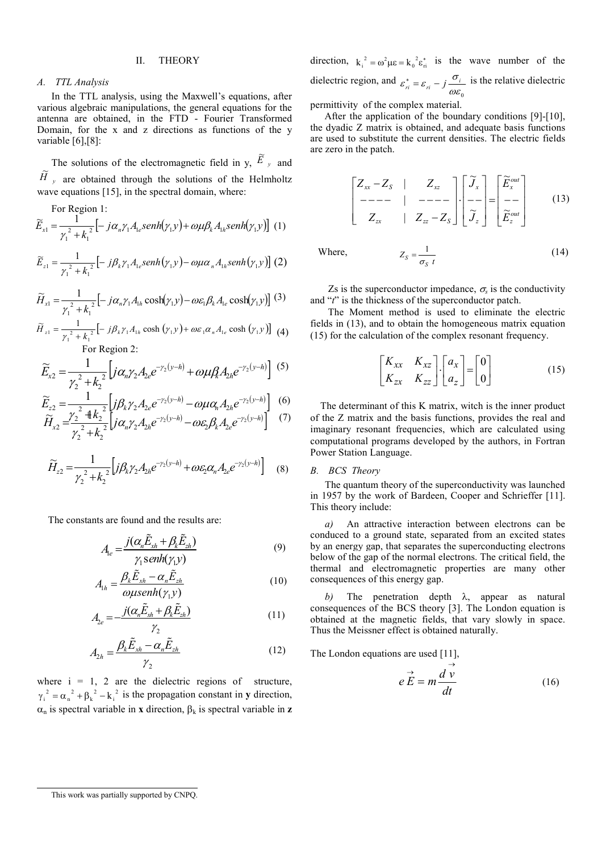# II. THEORY

# A. TTL Analysis

In the TTL analysis, using the Maxwell's equations, after various algebraic manipulations, the general equations for the antenna are obtained, in the FTD - Fourier Transformed Domain, for the x and z directions as functions of the y variable [6], [8]:

The solutions of the electromagnetic field in y,  $\tilde{E}_y$ and  $\widetilde{H}$ <sub>y</sub> are obtained through the solutions of the Helmholtz wave equations [15], in the spectral domain, where:

For Region 1:

$$
\widetilde{E}_{x1} = \frac{1}{\gamma_1^2 + k_1^2} \left[ -j\alpha_n \gamma_1 A_{1e} \text{senh}(\gamma_1 y) + \omega \mu \beta_k A_{1h} \text{senh}(\gamma_1 y) \right] (1)
$$

$$
\widetilde{E}_{z1} = \frac{1}{\gamma_1^2 + k_1^2} \left[ -j\beta_k \gamma_1 A_{1e} \operatorname{senh}(\gamma_1 y) - \omega \mu \alpha_n A_{1h} \operatorname{senh}(\gamma_1 y) \right] (2)
$$

$$
\widetilde{H}_{x1} = \frac{1}{\gamma_1^2 + k_1^2} \left[ -j\alpha_n \gamma_1 A_{1h} \cosh(\gamma_1 y) - \omega \varepsilon_1 \beta_k A_{1e} \cosh(\gamma_1 y) \right] (3)
$$

$$
\widetilde{H}_{z1} = \frac{1}{\gamma_1^2 + k_1^2} \left[ -j\beta_k \gamma_1 A_{1h} \cosh\left(\gamma_1 y\right) + \omega \varepsilon_1 \alpha_n A_{1e} \cosh\left(\gamma_1 y\right) \right] \tag{4}
$$
\n
$$
\text{For Region 2:}
$$

$$
\widetilde{E}_{x2} = \frac{1}{\gamma_2^2 + k_2^2} \left[ j \alpha_n \gamma_2 A_{2e} e^{-\gamma_2 (y - h)} + \omega \mu \beta_n A_{2h} e^{-\gamma_2 (y - h)} \right] \tag{5}
$$

$$
\widetilde{E}_{z2} = \frac{1}{\gamma^2 \pm k^2} \left[ j \beta_k \gamma_2 A_{2e} e^{-\gamma_2(y-h)} - \omega \mu \alpha_h A_{2h} e^{-\gamma_2(y-h)} \right] \tag{6}
$$

$$
\widetilde{H}_{x2} = \frac{\gamma_2^2 + k_2^2}{\gamma_2^2 + k_2^2} \left[ j \alpha_n \gamma_2 A_{2h} e^{-\gamma_2(y-h)} - \omega \varepsilon_2 \beta_k A_{2e} e^{-\gamma_2(y-h)} \right] (7)
$$

$$
\widetilde{H}_{z2} = \frac{1}{\gamma_2^2 + k_2^2} \Big[ j\beta_k \gamma_2 A_{2h} e^{-\gamma_2(y-h)} + \omega \varepsilon_2 \alpha_n A_{2e} e^{-\gamma_2(y-h)} \Big] \tag{8}
$$

The constants are found and the results are:

$$
A_{le} = \frac{j(\alpha_n \tilde{E}_{xh} + \beta_k \tilde{E}_{zh})}{\gamma_1 \text{senh}(\gamma_1 y)}
$$
(9)

$$
A_{1h} = \frac{\beta_k \tilde{E}_{xh} - \alpha_n \tilde{E}_{zh}}{\omega \mu \operatorname{senh}(\gamma_1 y)}
$$
(10)

$$
A_{2e} = -\frac{j(\alpha_n \tilde{E}_{xh} + \beta_k \tilde{E}_{zh})}{\gamma_2}
$$
\n(11)

$$
A_{2h} = \frac{\beta_k \tilde{E}_{xh} - \alpha_n \tilde{E}_{zh}}{\gamma_2}
$$
 (12)

where  $i = 1, 2$  are the dielectric regions of structure,  $\gamma_i^2 = \alpha_n^2 + \beta_k^2 - k_i^2$  is the propagation constant in y direction, α<sub>n</sub> is spectral variable in **x** direction,  $β_k$  is spectral variable in **z** 

direction,  $k_i^2 = \omega^2 \mu \varepsilon = k_0^2 \varepsilon_{\rm ri}^*$  is the wave number of the dielectric region, and  $\omega\varepsilon_{_0}$  $\varepsilon_n^* = \varepsilon_n - j \frac{\sigma_i}{n \varepsilon_n}$  is the relative dielectric

permittivity of the complex material.

After the application of the boundary conditions [9]-[10], the dyadic Z matrix is obtained, and adequate basis functions are used to substitute the current densities. The electric fields are zero in the patch.

$$
\begin{bmatrix} Z_{xx} - Z_s & | & Z_{xz} \\ - - - - & | & - - - - \\ Z_{zx} & | & Z_{zz} - Z_s \end{bmatrix} \cdot \begin{bmatrix} \widetilde{J}_x \\ - - \\ \widetilde{J}_z \end{bmatrix} = \begin{bmatrix} \widetilde{E}_x^{out} \\ - - \\ \widetilde{E}_z^{out} \end{bmatrix}
$$
(13)

Where,

Zs is the superconductor impedance,  $\sigma_s$  is the conductivity and "t" is the thickness of the superconductor patch.

 $s = \frac{1}{\sigma_S}$ 

 The Moment method is used to eliminate the electric fields in (13), and to obtain the homogeneous matrix equation (15) for the calculation of the complex resonant frequency.

$$
\begin{bmatrix} K_{xx} & K_{xz} \\ K_{zx} & K_{zz} \end{bmatrix} \cdot \begin{bmatrix} a_x \\ a_z \end{bmatrix} = \begin{bmatrix} 0 \\ 0 \end{bmatrix}
$$
 (15)

 $Z_s = \frac{1}{\sigma_s t}$  (14)

 The determinant of this K matrix, witch is the inner product of the Z matrix and the basis functions, provides the real and imaginary resonant frequencies, which are calculated using computational programs developed by the authors, in Fortran Power Station Language.

### B. BCS Theory

The quantum theory of the superconductivity was launched in 1957 by the work of Bardeen, Cooper and Schrieffer [11]. This theory include:

a) An attractive interaction between electrons can be conduced to a ground state, separated from an excited states by an energy gap, that separates the superconducting electrons below of the gap of the normal electrons. The critical field, the thermal and electromagnetic properties are many other consequences of this energy gap.

b) The penetration depth  $\lambda$ , appear as natural consequences of the BCS theory [3]. The London equation is obtained at the magnetic fields, that vary slowly in space. Thus the Meissner effect is obtained naturally.

The London equations are used [11],

$$
e \stackrel{\rightarrow}{E} = m \frac{d \stackrel{\rightarrow}{v}}{dt} \tag{16}
$$

This work was partially supported by CNPQ.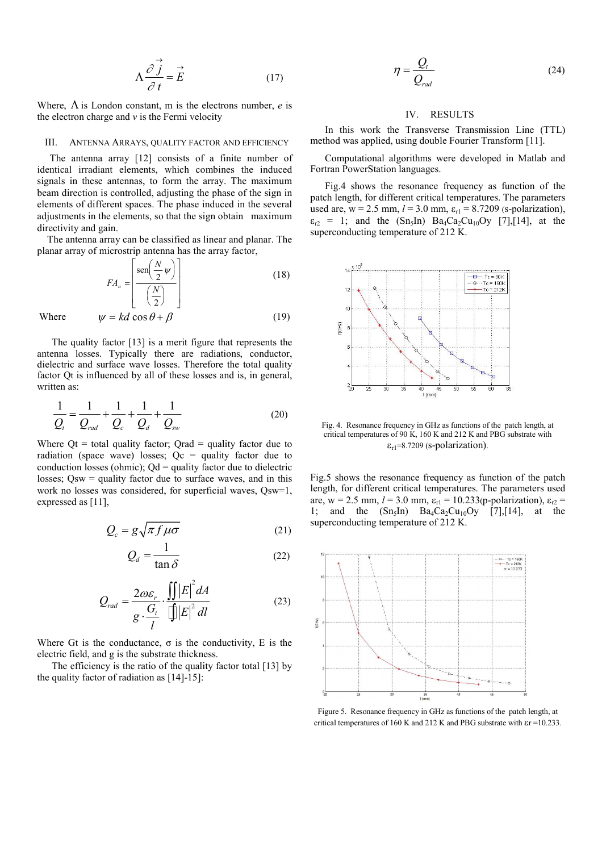$$
\Lambda \frac{\partial \vec{j}}{\partial t} = \vec{E} \tag{17}
$$

Where,  $\Lambda$  is London constant, m is the electrons number, e is the electron charge and  $\nu$  is the Fermi velocity

#### III. ANTENNA ARRAYS, QUALITY FACTOR AND EFFICIENCY

 The antenna array [12] consists of a finite number of identical irradiant elements, which combines the induced signals in these antennas, to form the array. The maximum beam direction is controlled, adjusting the phase of the sign in elements of different spaces. The phase induced in the several adjustments in the elements, so that the sign obtain maximum directivity and gain.

 The antenna array can be classified as linear and planar. The planar array of microstrip antenna has the array factor,

$$
FA_n = \left[ \frac{\text{sen}\left(\frac{N}{2}\psi\right)}{\left(\frac{N}{2}\right)} \right]
$$
 (18)

Where 
$$
\psi = kd \cos \theta + \beta \tag{19}
$$

The quality factor [13] is a merit figure that represents the antenna losses. Typically there are radiations, conductor, dielectric and surface wave losses. Therefore the total quality factor Qt is influenced by all of these losses and is, in general, written as:

$$
\frac{1}{Q_{t}} = \frac{1}{Q_{rad}} + \frac{1}{Q_{c}} + \frac{1}{Q_{d}} + \frac{1}{Q_{sw}}
$$
(20)

Where  $Qt = total$  quality factor;  $Qrad =$  quality factor due to radiation (space wave) losses;  $Qc =$  quality factor due to conduction losses (ohmic);  $Qd =$  quality factor due to dielectric losses; Qsw = quality factor due to surface waves, and in this work no losses was considered, for superficial waves, Qsw=1, expressed as [11],

$$
Q_c = g \sqrt{\pi f \mu \sigma} \tag{21}
$$

$$
Q_d = \frac{1}{\tan \delta} \tag{22}
$$

$$
Q_{rad} = \frac{2\omega\varepsilon_r}{g \cdot \frac{G_t}{l}} \cdot \frac{\iint |E|^2 dA}{\int |E|^2 dl}
$$
 (23)

Where Gt is the conductance,  $\sigma$  is the conductivity, E is the electric field, and g is the substrate thickness.

The efficiency is the ratio of the quality factor total [13] by the quality factor of radiation as [14]-15]:

$$
\eta = \frac{Q_t}{Q_{rad}}\tag{24}
$$

### IV. RESULTS

In this work the Transverse Transmission Line (TTL) method was applied, using double Fourier Transform [11].

Computational algorithms were developed in Matlab and Fortran PowerStation languages.

Fig.4 shows the resonance frequency as function of the patch length, for different critical temperatures. The parameters used are,  $w = 2.5$  mm,  $l = 3.0$  mm,  $\varepsilon_{r1} = 8.7209$  (s-polarization),  $\varepsilon_{r2}$  = 1; and the  $(Sn_5In) Ba_4Ca_2Cu_{10}O_V$  [7],[14], at the superconducting temperature of 212 K.



Fig. 4. Resonance frequency in GHz as functions of the patch length, at critical temperatures of 90 K, 160 K and 212 K and PBG substrate with  $\varepsilon_{r1}$ =8.7209 (s-polarization).

Fig.5 shows the resonance frequency as function of the patch length, for different critical temperatures. The parameters used are, w = 2.5 mm,  $l = 3.0$  mm,  $\varepsilon_{r1} = 10.233(p$ -polarization),  $\varepsilon_{r2} =$ 1; and the  $(Sn_5In)$   $Ba_4Ca_2Cu_{10}Oy$  [7],[14], at the superconducting temperature of 212 K.



Figure 5. Resonance frequency in GHz as functions of the patch length, at critical temperatures of 160 K and 212 K and PBG substrate with  $\epsilon$ r =10.233.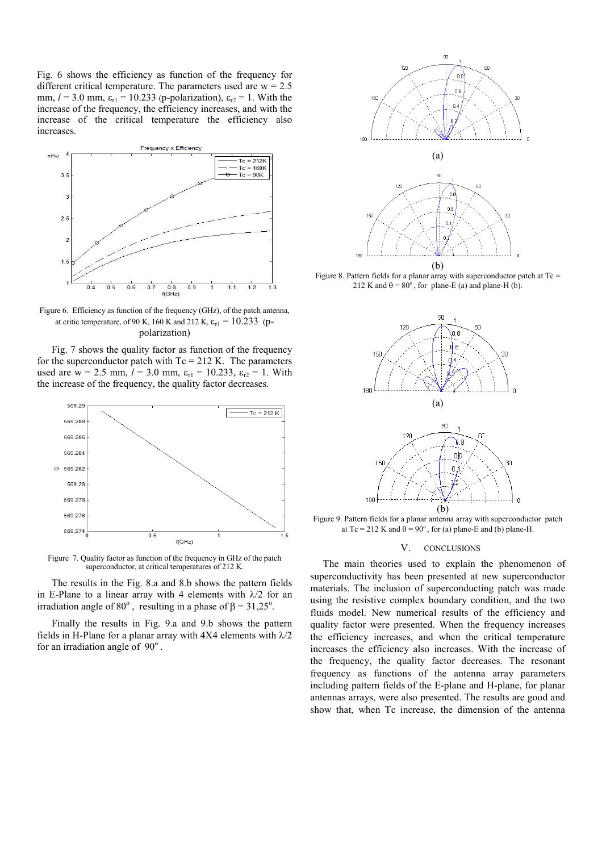Fig. 6 shows the efficiency as function of the frequency for different critical temperature. The parameters used are  $w = 2.5$ mm,  $l = 3.0$  mm,  $\varepsilon_{r1} = 10.233$  (p-polarization),  $\varepsilon_{r2} = 1$ . With the increase of the frequency, the efficiency increases, and with the increase of the critical temperature the efficiency also increases.



Figure 6. Efficiency as function of the frequency (GHz), of the patch antenna, at critic temperature, of 90 K, 160 K and 212 K,  $\varepsilon_{r1} = 10.233$  (ppolarization)

Fig. 7 shows the quality factor as function of the frequency for the superconductor patch with  $Tc = 212$  K. The parameters used are w = 2.5 mm,  $l = 3.0$  mm,  $\varepsilon_{r1} = 10.233$ ,  $\varepsilon_{r2} = 1$ . With the increase of the frequency, the quality factor decreases.



Figure 7. Quality factor as function of the frequency in GHz of the patch superconductor, at critical temperatures of 212 K.

The results in the Fig. 8.a and 8.b shows the pattern fields in E-Plane to a linear array with 4 elements with  $\lambda/2$  for an irradiation angle of 80<sup>°</sup>, resulting in a phase of  $\beta = 31,25$ <sup>°</sup>.

Finally the results in Fig. 9.a and 9.b shows the pattern fields in H-Plane for a planar array with 4X4 elements with  $\lambda/2$ for an irradiation angle of  $90^\circ$ .



Figure 8. Pattern fields for a planar array with superconductor patch at  $T_c$  = 212 K and  $\theta = 80^\circ$ , for plane-E (a) and plane-H (b).



Figure 9. Pattern fields for a planar antenna array with superconductor patch at Tc = 212 K and  $\theta$  = 90°, for (a) plane-E and (b) plane-H.

#### V. CONCLUSIONS

 The main theories used to explain the phenomenon of superconductivity has been presented at new superconductor materials. The inclusion of superconducting patch was made using the resistive complex boundary condition, and the two fluids model. New numerical results of the efficiency and quality factor were presented. When the frequency increases the efficiency increases, and when the critical temperature increases the efficiency also increases. With the increase of the frequency, the quality factor decreases. The resonant frequency as functions of the antenna array parameters including pattern fields of the E-plane and H-plane, for planar antennas arrays, were also presented. The results are good and show that, when Tc increase, the dimension of the antenna